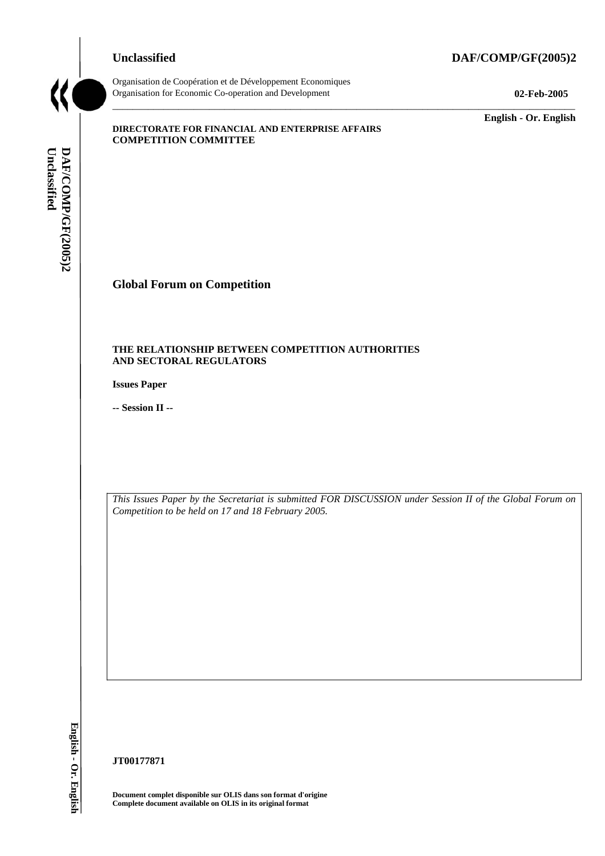## **Unclassified DAF/COMP/GF(2005)2**



Organisation de Coopération et de Développement Economiques Organisation for Economic Co-operation and Development **02-Feb-2005** 

\_\_\_\_\_\_\_\_\_\_\_\_\_ **English - Or. English** 

#### **DIRECTORATE FOR FINANCIAL AND ENTERPRISE AFFAIRS COMPETITION COMMITTEE**

Unclassified DAF/COMP/GF(2005)2 **Unclassified DAF/COMP/GF(2005)2 English - Or. English**

# **Global Forum on Competition**

#### **THE RELATIONSHIP BETWEEN COMPETITION AUTHORITIES AND SECTORAL REGULATORS**

**Issues Paper** 

**-- Session II --** 

*This Issues Paper by the Secretariat is submitted FOR DISCUSSION under Session II of the Global Forum on Competition to be held on 17 and 18 February 2005.* 

\_\_\_\_\_\_\_\_\_\_\_\_\_\_\_\_\_\_\_\_\_\_\_\_\_\_\_\_\_\_\_\_\_\_\_\_\_\_\_\_\_\_\_\_\_\_\_\_\_\_\_\_\_\_\_\_\_\_\_\_\_\_\_\_\_\_\_\_\_\_\_\_\_\_\_\_\_\_\_\_\_\_\_\_\_\_\_\_\_\_\_

**JT00177871** 

**Document complet disponible sur OLIS dans son format d'origine Complete document available on OLIS in its original format**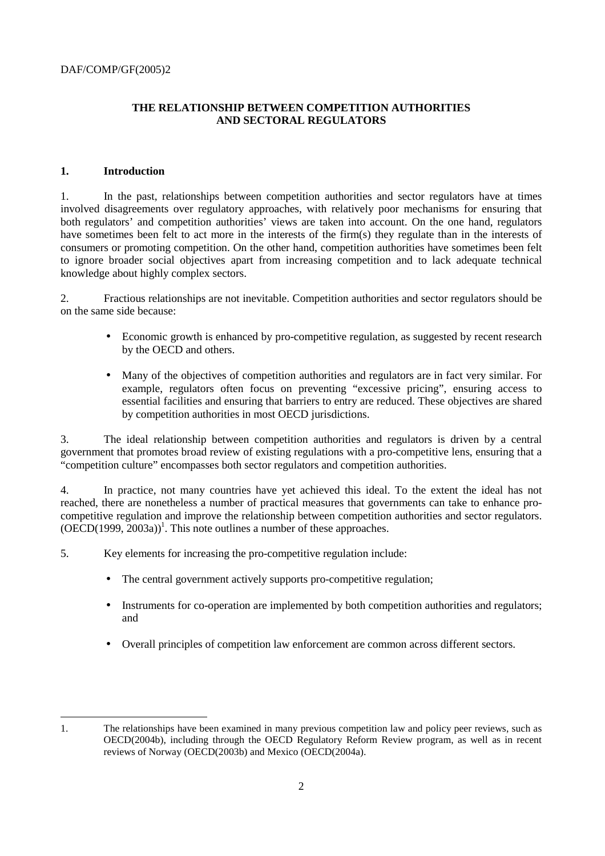# **THE RELATIONSHIP BETWEEN COMPETITION AUTHORITIES AND SECTORAL REGULATORS**

## **1. Introduction**

1. In the past, relationships between competition authorities and sector regulators have at times involved disagreements over regulatory approaches, with relatively poor mechanisms for ensuring that both regulators' and competition authorities' views are taken into account. On the one hand, regulators have sometimes been felt to act more in the interests of the firm(s) they regulate than in the interests of consumers or promoting competition. On the other hand, competition authorities have sometimes been felt to ignore broader social objectives apart from increasing competition and to lack adequate technical knowledge about highly complex sectors.

2. Fractious relationships are not inevitable. Competition authorities and sector regulators should be on the same side because:

- Economic growth is enhanced by pro-competitive regulation, as suggested by recent research by the OECD and others.
- Many of the objectives of competition authorities and regulators are in fact very similar. For example, regulators often focus on preventing "excessive pricing", ensuring access to essential facilities and ensuring that barriers to entry are reduced. These objectives are shared by competition authorities in most OECD jurisdictions.

3. The ideal relationship between competition authorities and regulators is driven by a central government that promotes broad review of existing regulations with a pro-competitive lens, ensuring that a "competition culture" encompasses both sector regulators and competition authorities.

4. In practice, not many countries have yet achieved this ideal. To the extent the ideal has not reached, there are nonetheless a number of practical measures that governments can take to enhance procompetitive regulation and improve the relationship between competition authorities and sector regulators.  $(OECD(1999, 2003a))$ <sup>1</sup>. This note outlines a number of these approaches.

5. Key elements for increasing the pro-competitive regulation include:

- The central government actively supports pro-competitive regulation;
- Instruments for co-operation are implemented by both competition authorities and regulators; and
- Overall principles of competition law enforcement are common across different sectors.

 $\overline{a}$ 1. The relationships have been examined in many previous competition law and policy peer reviews, such as OECD(2004b), including through the OECD Regulatory Reform Review program, as well as in recent reviews of Norway (OECD(2003b) and Mexico (OECD(2004a).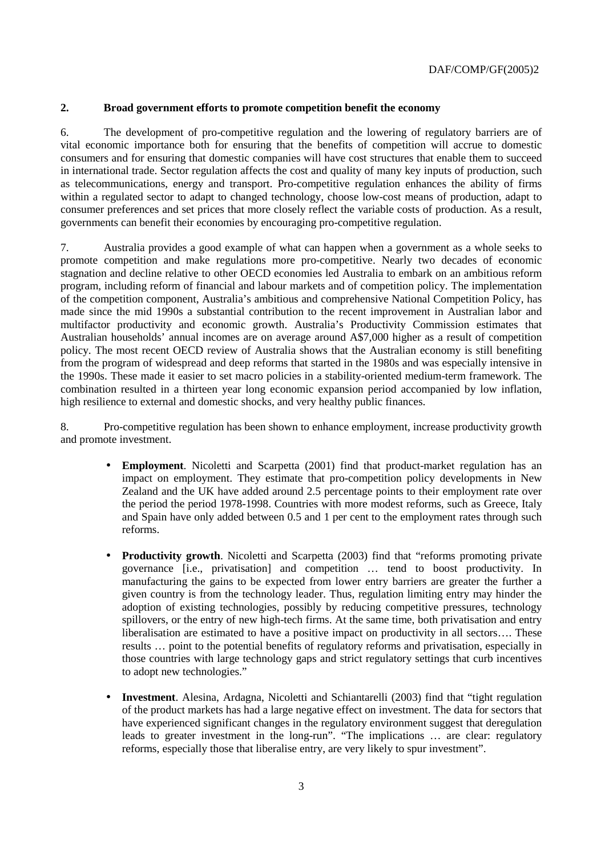#### **2. Broad government efforts to promote competition benefit the economy**

6. The development of pro-competitive regulation and the lowering of regulatory barriers are of vital economic importance both for ensuring that the benefits of competition will accrue to domestic consumers and for ensuring that domestic companies will have cost structures that enable them to succeed in international trade. Sector regulation affects the cost and quality of many key inputs of production, such as telecommunications, energy and transport. Pro-competitive regulation enhances the ability of firms within a regulated sector to adapt to changed technology, choose low-cost means of production, adapt to consumer preferences and set prices that more closely reflect the variable costs of production. As a result, governments can benefit their economies by encouraging pro-competitive regulation.

7. Australia provides a good example of what can happen when a government as a whole seeks to promote competition and make regulations more pro-competitive. Nearly two decades of economic stagnation and decline relative to other OECD economies led Australia to embark on an ambitious reform program, including reform of financial and labour markets and of competition policy. The implementation of the competition component, Australia's ambitious and comprehensive National Competition Policy, has made since the mid 1990s a substantial contribution to the recent improvement in Australian labor and multifactor productivity and economic growth. Australia's Productivity Commission estimates that Australian households' annual incomes are on average around A\$7,000 higher as a result of competition policy. The most recent OECD review of Australia shows that the Australian economy is still benefiting from the program of widespread and deep reforms that started in the 1980s and was especially intensive in the 1990s. These made it easier to set macro policies in a stability-oriented medium-term framework. The combination resulted in a thirteen year long economic expansion period accompanied by low inflation, high resilience to external and domestic shocks, and very healthy public finances.

8. Pro-competitive regulation has been shown to enhance employment, increase productivity growth and promote investment.

- **Employment**. Nicoletti and Scarpetta (2001) find that product-market regulation has an impact on employment. They estimate that pro-competition policy developments in New Zealand and the UK have added around 2.5 percentage points to their employment rate over the period the period 1978-1998. Countries with more modest reforms, such as Greece, Italy and Spain have only added between 0.5 and 1 per cent to the employment rates through such reforms.
- **Productivity growth.** Nicoletti and Scarpetta (2003) find that "reforms promoting private governance [i.e., privatisation] and competition … tend to boost productivity. In manufacturing the gains to be expected from lower entry barriers are greater the further a given country is from the technology leader. Thus, regulation limiting entry may hinder the adoption of existing technologies, possibly by reducing competitive pressures, technology spillovers, or the entry of new high-tech firms. At the same time, both privatisation and entry liberalisation are estimated to have a positive impact on productivity in all sectors…. These results … point to the potential benefits of regulatory reforms and privatisation, especially in those countries with large technology gaps and strict regulatory settings that curb incentives to adopt new technologies."
- **Investment**. Alesina, Ardagna, Nicoletti and Schiantarelli (2003) find that "tight regulation of the product markets has had a large negative effect on investment. The data for sectors that have experienced significant changes in the regulatory environment suggest that deregulation leads to greater investment in the long-run". "The implications … are clear: regulatory reforms, especially those that liberalise entry, are very likely to spur investment".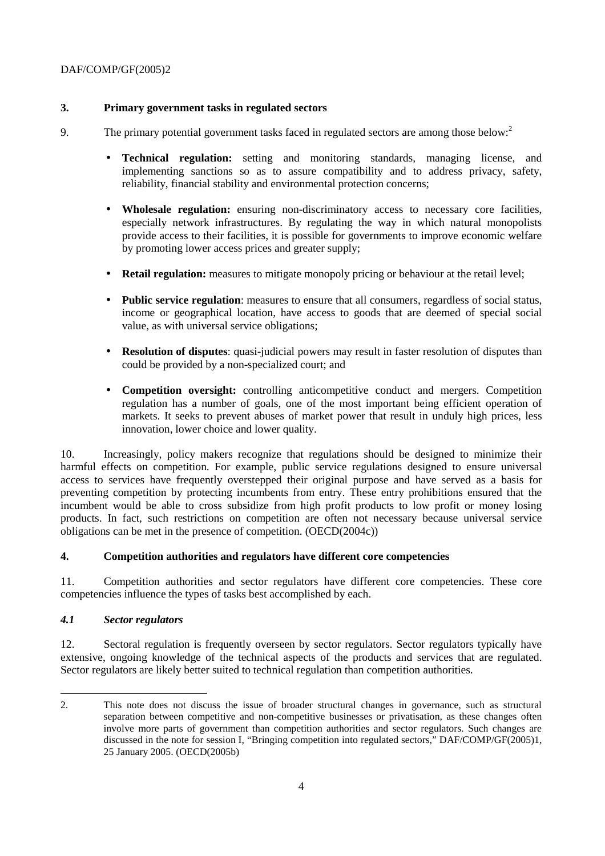## **3. Primary government tasks in regulated sectors**

- 9. The primary potential government tasks faced in regulated sectors are among those below:<sup>2</sup>
	- **Technical regulation:** setting and monitoring standards, managing license, and implementing sanctions so as to assure compatibility and to address privacy, safety, reliability, financial stability and environmental protection concerns;
	- **Wholesale regulation:** ensuring non-discriminatory access to necessary core facilities, especially network infrastructures. By regulating the way in which natural monopolists provide access to their facilities, it is possible for governments to improve economic welfare by promoting lower access prices and greater supply;
	- **Retail regulation:** measures to mitigate monopoly pricing or behaviour at the retail level;
	- **Public service regulation**: measures to ensure that all consumers, regardless of social status, income or geographical location, have access to goods that are deemed of special social value, as with universal service obligations;
	- **Resolution of disputes**: quasi-judicial powers may result in faster resolution of disputes than could be provided by a non-specialized court; and
	- **Competition oversight:** controlling anticompetitive conduct and mergers. Competition regulation has a number of goals, one of the most important being efficient operation of markets. It seeks to prevent abuses of market power that result in unduly high prices, less innovation, lower choice and lower quality.

10. Increasingly, policy makers recognize that regulations should be designed to minimize their harmful effects on competition. For example, public service regulations designed to ensure universal access to services have frequently overstepped their original purpose and have served as a basis for preventing competition by protecting incumbents from entry. These entry prohibitions ensured that the incumbent would be able to cross subsidize from high profit products to low profit or money losing products. In fact, such restrictions on competition are often not necessary because universal service obligations can be met in the presence of competition. (OECD(2004c))

#### **4. Competition authorities and regulators have different core competencies**

11. Competition authorities and sector regulators have different core competencies. These core competencies influence the types of tasks best accomplished by each.

#### *4.1 Sector regulators*

12. Sectoral regulation is frequently overseen by sector regulators. Sector regulators typically have extensive, ongoing knowledge of the technical aspects of the products and services that are regulated. Sector regulators are likely better suited to technical regulation than competition authorities.

 $\overline{a}$ 2. This note does not discuss the issue of broader structural changes in governance, such as structural separation between competitive and non-competitive businesses or privatisation, as these changes often involve more parts of government than competition authorities and sector regulators. Such changes are discussed in the note for session I, "Bringing competition into regulated sectors," DAF/COMP/GF(2005)1, 25 January 2005. (OECD(2005b)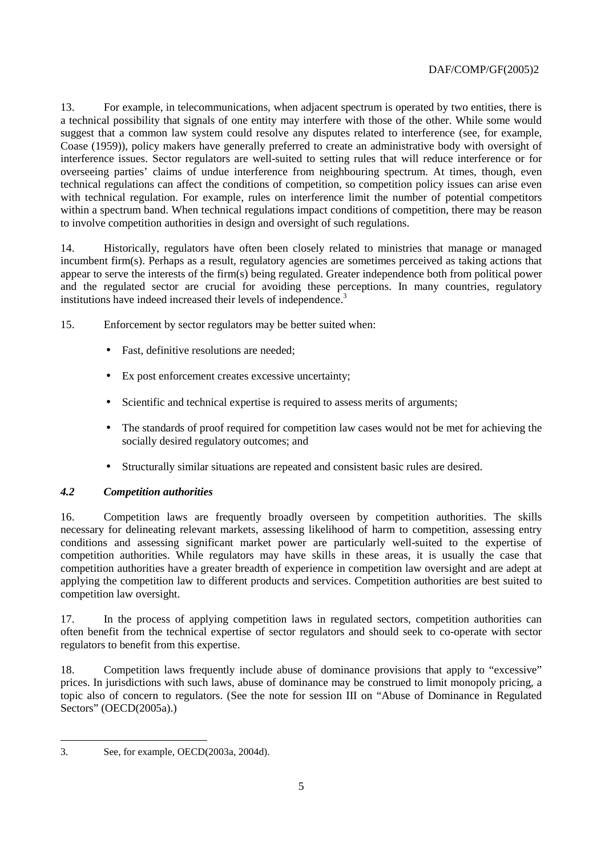13. For example, in telecommunications, when adjacent spectrum is operated by two entities, there is a technical possibility that signals of one entity may interfere with those of the other. While some would suggest that a common law system could resolve any disputes related to interference (see, for example, Coase (1959)), policy makers have generally preferred to create an administrative body with oversight of interference issues. Sector regulators are well-suited to setting rules that will reduce interference or for overseeing parties' claims of undue interference from neighbouring spectrum. At times, though, even technical regulations can affect the conditions of competition, so competition policy issues can arise even with technical regulation. For example, rules on interference limit the number of potential competitors within a spectrum band. When technical regulations impact conditions of competition, there may be reason to involve competition authorities in design and oversight of such regulations.

14. Historically, regulators have often been closely related to ministries that manage or managed incumbent firm(s). Perhaps as a result, regulatory agencies are sometimes perceived as taking actions that appear to serve the interests of the firm(s) being regulated. Greater independence both from political power and the regulated sector are crucial for avoiding these perceptions. In many countries, regulatory institutions have indeed increased their levels of independence.<sup>3</sup>

15. Enforcement by sector regulators may be better suited when:

- Fast, definitive resolutions are needed;
- Ex post enforcement creates excessive uncertainty:
- Scientific and technical expertise is required to assess merits of arguments;
- The standards of proof required for competition law cases would not be met for achieving the socially desired regulatory outcomes; and
- Structurally similar situations are repeated and consistent basic rules are desired.

# *4.2 Competition authorities*

16. Competition laws are frequently broadly overseen by competition authorities. The skills necessary for delineating relevant markets, assessing likelihood of harm to competition, assessing entry conditions and assessing significant market power are particularly well-suited to the expertise of competition authorities. While regulators may have skills in these areas, it is usually the case that competition authorities have a greater breadth of experience in competition law oversight and are adept at applying the competition law to different products and services. Competition authorities are best suited to competition law oversight.

17. In the process of applying competition laws in regulated sectors, competition authorities can often benefit from the technical expertise of sector regulators and should seek to co-operate with sector regulators to benefit from this expertise.

18. Competition laws frequently include abuse of dominance provisions that apply to "excessive" prices. In jurisdictions with such laws, abuse of dominance may be construed to limit monopoly pricing, a topic also of concern to regulators. (See the note for session III on "Abuse of Dominance in Regulated Sectors" (OECD(2005a).)

 $\overline{a}$ 3. See, for example, OECD(2003a, 2004d).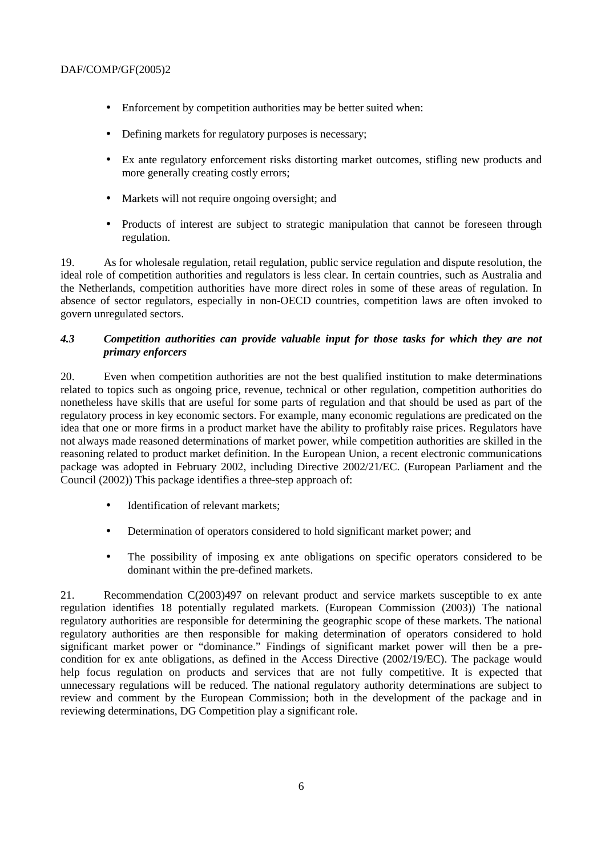- Enforcement by competition authorities may be better suited when:
- Defining markets for regulatory purposes is necessary;
- Ex ante regulatory enforcement risks distorting market outcomes, stifling new products and more generally creating costly errors;
- Markets will not require ongoing oversight; and
- Products of interest are subject to strategic manipulation that cannot be foreseen through regulation.

19. As for wholesale regulation, retail regulation, public service regulation and dispute resolution, the ideal role of competition authorities and regulators is less clear. In certain countries, such as Australia and the Netherlands, competition authorities have more direct roles in some of these areas of regulation. In absence of sector regulators, especially in non-OECD countries, competition laws are often invoked to govern unregulated sectors.

## *4.3 Competition authorities can provide valuable input for those tasks for which they are not primary enforcers*

20. Even when competition authorities are not the best qualified institution to make determinations related to topics such as ongoing price, revenue, technical or other regulation, competition authorities do nonetheless have skills that are useful for some parts of regulation and that should be used as part of the regulatory process in key economic sectors. For example, many economic regulations are predicated on the idea that one or more firms in a product market have the ability to profitably raise prices. Regulators have not always made reasoned determinations of market power, while competition authorities are skilled in the reasoning related to product market definition. In the European Union, a recent electronic communications package was adopted in February 2002, including Directive 2002/21/EC. (European Parliament and the Council (2002)) This package identifies a three-step approach of:

- Identification of relevant markets:
- Determination of operators considered to hold significant market power; and
- The possibility of imposing ex ante obligations on specific operators considered to be dominant within the pre-defined markets.

21. Recommendation C(2003)497 on relevant product and service markets susceptible to ex ante regulation identifies 18 potentially regulated markets. (European Commission (2003)) The national regulatory authorities are responsible for determining the geographic scope of these markets. The national regulatory authorities are then responsible for making determination of operators considered to hold significant market power or "dominance." Findings of significant market power will then be a precondition for ex ante obligations, as defined in the Access Directive (2002/19/EC). The package would help focus regulation on products and services that are not fully competitive. It is expected that unnecessary regulations will be reduced. The national regulatory authority determinations are subject to review and comment by the European Commission; both in the development of the package and in reviewing determinations, DG Competition play a significant role.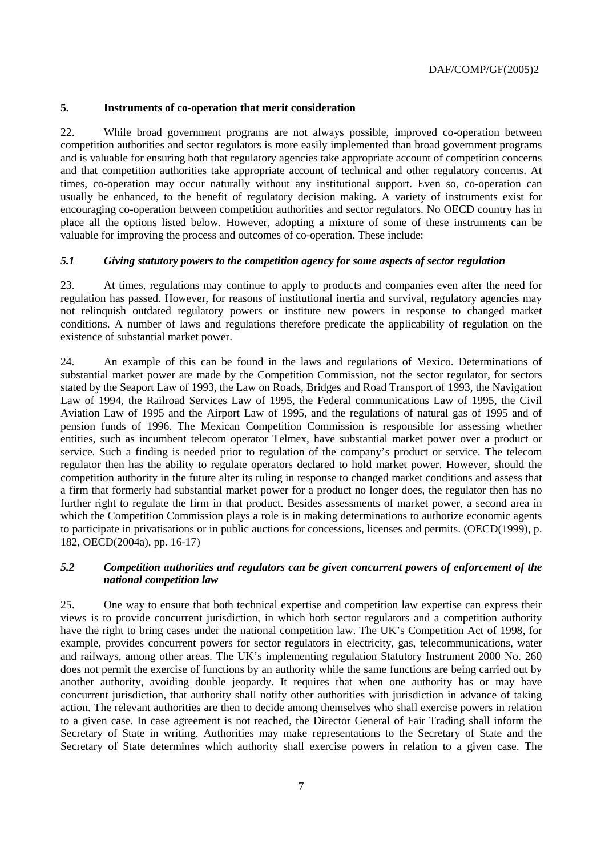## **5. Instruments of co-operation that merit consideration**

22. While broad government programs are not always possible, improved co-operation between competition authorities and sector regulators is more easily implemented than broad government programs and is valuable for ensuring both that regulatory agencies take appropriate account of competition concerns and that competition authorities take appropriate account of technical and other regulatory concerns. At times, co-operation may occur naturally without any institutional support. Even so, co-operation can usually be enhanced, to the benefit of regulatory decision making. A variety of instruments exist for encouraging co-operation between competition authorities and sector regulators. No OECD country has in place all the options listed below. However, adopting a mixture of some of these instruments can be valuable for improving the process and outcomes of co-operation. These include:

## *5.1 Giving statutory powers to the competition agency for some aspects of sector regulation*

23. At times, regulations may continue to apply to products and companies even after the need for regulation has passed. However, for reasons of institutional inertia and survival, regulatory agencies may not relinquish outdated regulatory powers or institute new powers in response to changed market conditions. A number of laws and regulations therefore predicate the applicability of regulation on the existence of substantial market power.

24. An example of this can be found in the laws and regulations of Mexico. Determinations of substantial market power are made by the Competition Commission, not the sector regulator, for sectors stated by the Seaport Law of 1993, the Law on Roads, Bridges and Road Transport of 1993, the Navigation Law of 1994, the Railroad Services Law of 1995, the Federal communications Law of 1995, the Civil Aviation Law of 1995 and the Airport Law of 1995, and the regulations of natural gas of 1995 and of pension funds of 1996. The Mexican Competition Commission is responsible for assessing whether entities, such as incumbent telecom operator Telmex, have substantial market power over a product or service. Such a finding is needed prior to regulation of the company's product or service. The telecom regulator then has the ability to regulate operators declared to hold market power. However, should the competition authority in the future alter its ruling in response to changed market conditions and assess that a firm that formerly had substantial market power for a product no longer does, the regulator then has no further right to regulate the firm in that product. Besides assessments of market power, a second area in which the Competition Commission plays a role is in making determinations to authorize economic agents to participate in privatisations or in public auctions for concessions, licenses and permits. (OECD(1999), p. 182, OECD(2004a), pp. 16-17)

## *5.2 Competition authorities and regulators can be given concurrent powers of enforcement of the national competition law*

25. One way to ensure that both technical expertise and competition law expertise can express their views is to provide concurrent jurisdiction, in which both sector regulators and a competition authority have the right to bring cases under the national competition law. The UK's Competition Act of 1998, for example, provides concurrent powers for sector regulators in electricity, gas, telecommunications, water and railways, among other areas. The UK's implementing regulation Statutory Instrument 2000 No. 260 does not permit the exercise of functions by an authority while the same functions are being carried out by another authority, avoiding double jeopardy. It requires that when one authority has or may have concurrent jurisdiction, that authority shall notify other authorities with jurisdiction in advance of taking action. The relevant authorities are then to decide among themselves who shall exercise powers in relation to a given case. In case agreement is not reached, the Director General of Fair Trading shall inform the Secretary of State in writing. Authorities may make representations to the Secretary of State and the Secretary of State determines which authority shall exercise powers in relation to a given case. The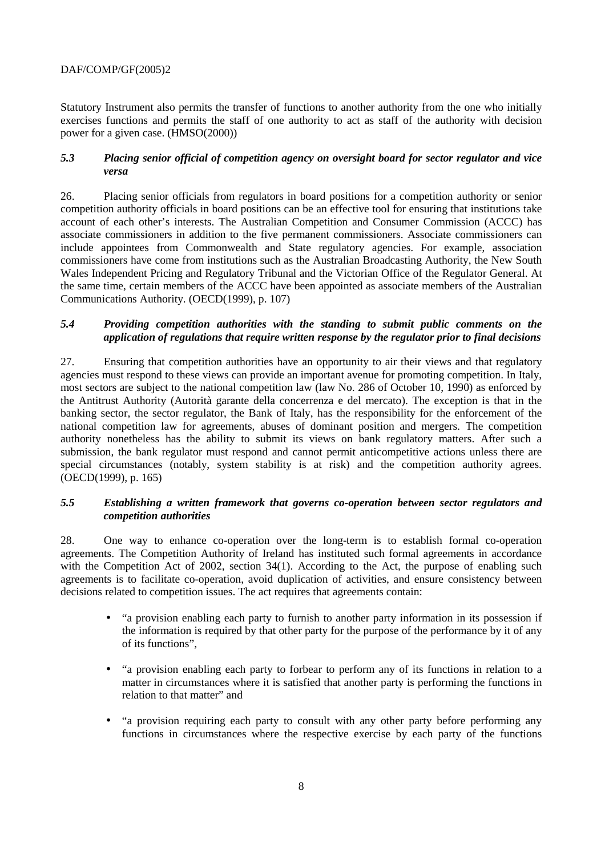Statutory Instrument also permits the transfer of functions to another authority from the one who initially exercises functions and permits the staff of one authority to act as staff of the authority with decision power for a given case. (HMSO(2000))

#### *5.3 Placing senior official of competition agency on oversight board for sector regulator and vice versa*

26. Placing senior officials from regulators in board positions for a competition authority or senior competition authority officials in board positions can be an effective tool for ensuring that institutions take account of each other's interests. The Australian Competition and Consumer Commission (ACCC) has associate commissioners in addition to the five permanent commissioners. Associate commissioners can include appointees from Commonwealth and State regulatory agencies. For example, association commissioners have come from institutions such as the Australian Broadcasting Authority, the New South Wales Independent Pricing and Regulatory Tribunal and the Victorian Office of the Regulator General. At the same time, certain members of the ACCC have been appointed as associate members of the Australian Communications Authority. (OECD(1999), p. 107)

## *5.4 Providing competition authorities with the standing to submit public comments on the application of regulations that require written response by the regulator prior to final decisions*

27. Ensuring that competition authorities have an opportunity to air their views and that regulatory agencies must respond to these views can provide an important avenue for promoting competition. In Italy, most sectors are subject to the national competition law (law No. 286 of October 10, 1990) as enforced by the Antitrust Authority (Autorità garante della concerrenza e del mercato). The exception is that in the banking sector, the sector regulator, the Bank of Italy, has the responsibility for the enforcement of the national competition law for agreements, abuses of dominant position and mergers. The competition authority nonetheless has the ability to submit its views on bank regulatory matters. After such a submission, the bank regulator must respond and cannot permit anticompetitive actions unless there are special circumstances (notably, system stability is at risk) and the competition authority agrees. (OECD(1999), p. 165)

#### *5.5 Establishing a written framework that governs co-operation between sector regulators and competition authorities*

28. One way to enhance co-operation over the long-term is to establish formal co-operation agreements. The Competition Authority of Ireland has instituted such formal agreements in accordance with the Competition Act of 2002, section 34(1). According to the Act, the purpose of enabling such agreements is to facilitate co-operation, avoid duplication of activities, and ensure consistency between decisions related to competition issues. The act requires that agreements contain:

- "a provision enabling each party to furnish to another party information in its possession if the information is required by that other party for the purpose of the performance by it of any of its functions",
- "a provision enabling each party to forbear to perform any of its functions in relation to a matter in circumstances where it is satisfied that another party is performing the functions in relation to that matter" and
- "a provision requiring each party to consult with any other party before performing any functions in circumstances where the respective exercise by each party of the functions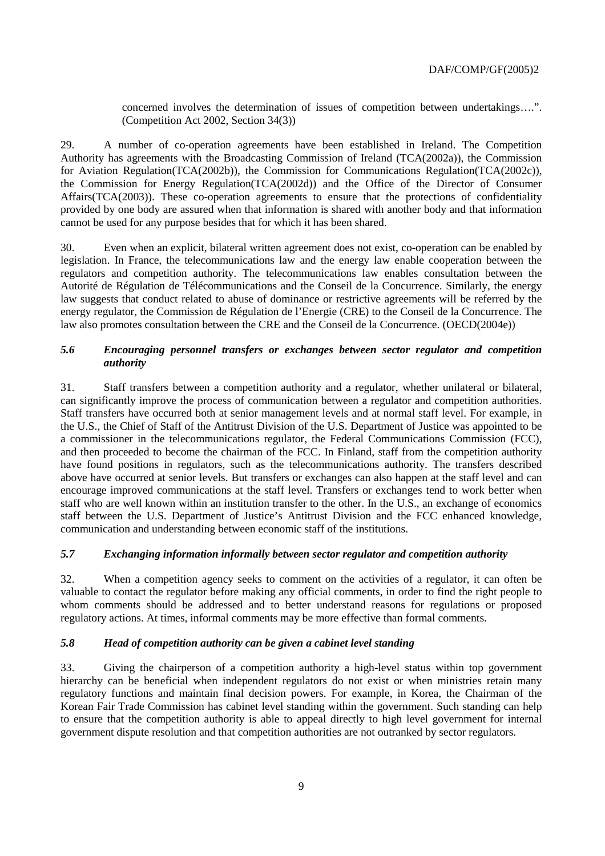concerned involves the determination of issues of competition between undertakings….". (Competition Act 2002, Section 34(3))

29. A number of co-operation agreements have been established in Ireland. The Competition Authority has agreements with the Broadcasting Commission of Ireland (TCA(2002a)), the Commission for Aviation Regulation(TCA(2002b)), the Commission for Communications Regulation(TCA(2002c)), the Commission for Energy Regulation(TCA(2002d)) and the Office of the Director of Consumer Affairs(TCA(2003)). These co-operation agreements to ensure that the protections of confidentiality provided by one body are assured when that information is shared with another body and that information cannot be used for any purpose besides that for which it has been shared.

30. Even when an explicit, bilateral written agreement does not exist, co-operation can be enabled by legislation. In France, the telecommunications law and the energy law enable cooperation between the regulators and competition authority. The telecommunications law enables consultation between the Autorité de Régulation de Télécommunications and the Conseil de la Concurrence. Similarly, the energy law suggests that conduct related to abuse of dominance or restrictive agreements will be referred by the energy regulator, the Commission de Régulation de l'Energie (CRE) to the Conseil de la Concurrence. The law also promotes consultation between the CRE and the Conseil de la Concurrence. (OECD(2004e))

## *5.6 Encouraging personnel transfers or exchanges between sector regulator and competition authority*

31. Staff transfers between a competition authority and a regulator, whether unilateral or bilateral, can significantly improve the process of communication between a regulator and competition authorities. Staff transfers have occurred both at senior management levels and at normal staff level. For example, in the U.S., the Chief of Staff of the Antitrust Division of the U.S. Department of Justice was appointed to be a commissioner in the telecommunications regulator, the Federal Communications Commission (FCC), and then proceeded to become the chairman of the FCC. In Finland, staff from the competition authority have found positions in regulators, such as the telecommunications authority. The transfers described above have occurred at senior levels. But transfers or exchanges can also happen at the staff level and can encourage improved communications at the staff level. Transfers or exchanges tend to work better when staff who are well known within an institution transfer to the other. In the U.S., an exchange of economics staff between the U.S. Department of Justice's Antitrust Division and the FCC enhanced knowledge, communication and understanding between economic staff of the institutions.

# *5.7 Exchanging information informally between sector regulator and competition authority*

32. When a competition agency seeks to comment on the activities of a regulator, it can often be valuable to contact the regulator before making any official comments, in order to find the right people to whom comments should be addressed and to better understand reasons for regulations or proposed regulatory actions. At times, informal comments may be more effective than formal comments.

#### *5.8 Head of competition authority can be given a cabinet level standing*

33. Giving the chairperson of a competition authority a high-level status within top government hierarchy can be beneficial when independent regulators do not exist or when ministries retain many regulatory functions and maintain final decision powers. For example, in Korea, the Chairman of the Korean Fair Trade Commission has cabinet level standing within the government. Such standing can help to ensure that the competition authority is able to appeal directly to high level government for internal government dispute resolution and that competition authorities are not outranked by sector regulators.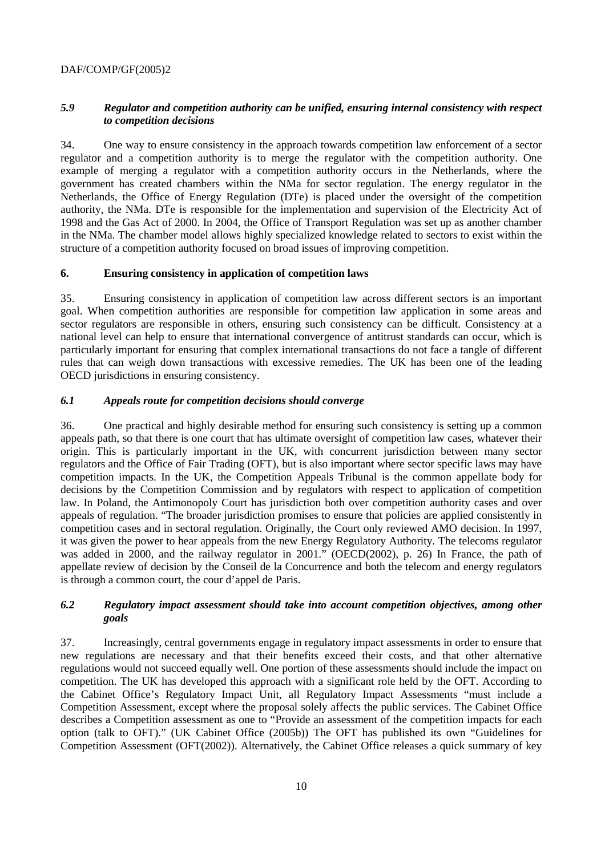## *5.9 Regulator and competition authority can be unified, ensuring internal consistency with respect to competition decisions*

34. One way to ensure consistency in the approach towards competition law enforcement of a sector regulator and a competition authority is to merge the regulator with the competition authority. One example of merging a regulator with a competition authority occurs in the Netherlands, where the government has created chambers within the NMa for sector regulation. The energy regulator in the Netherlands, the Office of Energy Regulation (DTe) is placed under the oversight of the competition authority, the NMa. DTe is responsible for the implementation and supervision of the Electricity Act of 1998 and the Gas Act of 2000. In 2004, the Office of Transport Regulation was set up as another chamber in the NMa. The chamber model allows highly specialized knowledge related to sectors to exist within the structure of a competition authority focused on broad issues of improving competition.

#### **6. Ensuring consistency in application of competition laws**

35. Ensuring consistency in application of competition law across different sectors is an important goal. When competition authorities are responsible for competition law application in some areas and sector regulators are responsible in others, ensuring such consistency can be difficult. Consistency at a national level can help to ensure that international convergence of antitrust standards can occur, which is particularly important for ensuring that complex international transactions do not face a tangle of different rules that can weigh down transactions with excessive remedies. The UK has been one of the leading OECD jurisdictions in ensuring consistency.

# *6.1 Appeals route for competition decisions should converge*

36. One practical and highly desirable method for ensuring such consistency is setting up a common appeals path, so that there is one court that has ultimate oversight of competition law cases, whatever their origin. This is particularly important in the UK, with concurrent jurisdiction between many sector regulators and the Office of Fair Trading (OFT), but is also important where sector specific laws may have competition impacts. In the UK, the Competition Appeals Tribunal is the common appellate body for decisions by the Competition Commission and by regulators with respect to application of competition law. In Poland, the Antimonopoly Court has jurisdiction both over competition authority cases and over appeals of regulation. "The broader jurisdiction promises to ensure that policies are applied consistently in competition cases and in sectoral regulation. Originally, the Court only reviewed AMO decision. In 1997, it was given the power to hear appeals from the new Energy Regulatory Authority. The telecoms regulator was added in 2000, and the railway regulator in 2001." (OECD(2002), p. 26) In France, the path of appellate review of decision by the Conseil de la Concurrence and both the telecom and energy regulators is through a common court, the cour d'appel de Paris.

## *6.2 Regulatory impact assessment should take into account competition objectives, among other goals*

37. Increasingly, central governments engage in regulatory impact assessments in order to ensure that new regulations are necessary and that their benefits exceed their costs, and that other alternative regulations would not succeed equally well. One portion of these assessments should include the impact on competition. The UK has developed this approach with a significant role held by the OFT. According to the Cabinet Office's Regulatory Impact Unit, all Regulatory Impact Assessments "must include a Competition Assessment, except where the proposal solely affects the public services. The Cabinet Office describes a Competition assessment as one to "Provide an assessment of the competition impacts for each option (talk to OFT)." (UK Cabinet Office (2005b)) The OFT has published its own "Guidelines for Competition Assessment (OFT(2002)). Alternatively, the Cabinet Office releases a quick summary of key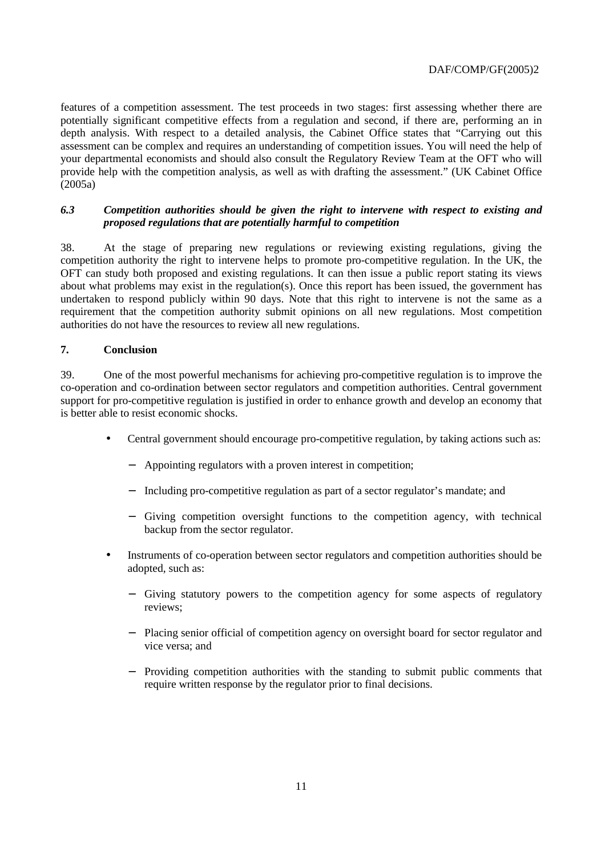features of a competition assessment. The test proceeds in two stages: first assessing whether there are potentially significant competitive effects from a regulation and second, if there are, performing an in depth analysis. With respect to a detailed analysis, the Cabinet Office states that "Carrying out this assessment can be complex and requires an understanding of competition issues. You will need the help of your departmental economists and should also consult the Regulatory Review Team at the OFT who will provide help with the competition analysis, as well as with drafting the assessment." (UK Cabinet Office (2005a)

#### *6.3 Competition authorities should be given the right to intervene with respect to existing and proposed regulations that are potentially harmful to competition*

38. At the stage of preparing new regulations or reviewing existing regulations, giving the competition authority the right to intervene helps to promote pro-competitive regulation. In the UK, the OFT can study both proposed and existing regulations. It can then issue a public report stating its views about what problems may exist in the regulation(s). Once this report has been issued, the government has undertaken to respond publicly within 90 days. Note that this right to intervene is not the same as a requirement that the competition authority submit opinions on all new regulations. Most competition authorities do not have the resources to review all new regulations.

## **7. Conclusion**

39. One of the most powerful mechanisms for achieving pro-competitive regulation is to improve the co-operation and co-ordination between sector regulators and competition authorities. Central government support for pro-competitive regulation is justified in order to enhance growth and develop an economy that is better able to resist economic shocks.

- Central government should encourage pro-competitive regulation, by taking actions such as:
	- − Appointing regulators with a proven interest in competition;
	- − Including pro-competitive regulation as part of a sector regulator's mandate; and
	- − Giving competition oversight functions to the competition agency, with technical backup from the sector regulator.
- Instruments of co-operation between sector regulators and competition authorities should be adopted, such as:
	- − Giving statutory powers to the competition agency for some aspects of regulatory reviews;
	- − Placing senior official of competition agency on oversight board for sector regulator and vice versa; and
	- − Providing competition authorities with the standing to submit public comments that require written response by the regulator prior to final decisions.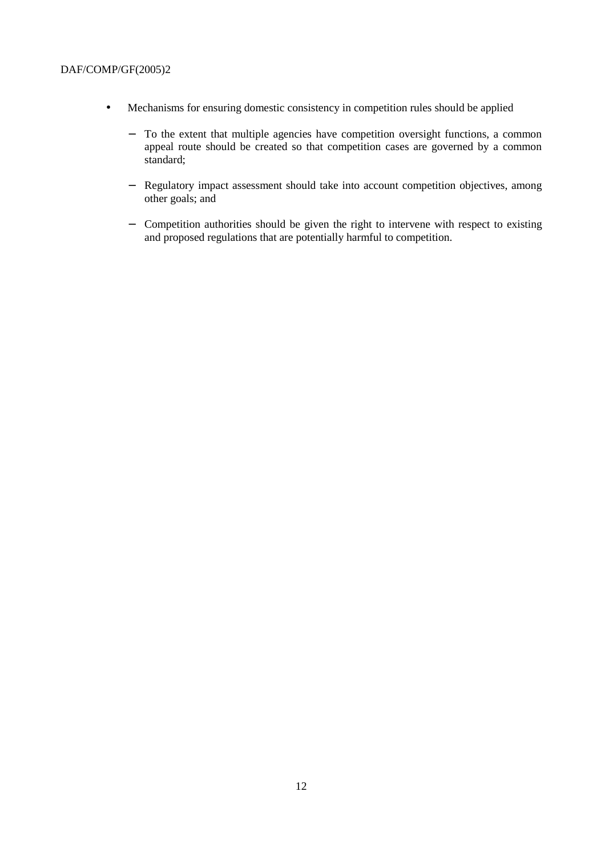- Mechanisms for ensuring domestic consistency in competition rules should be applied
	- − To the extent that multiple agencies have competition oversight functions, a common appeal route should be created so that competition cases are governed by a common standard;
	- − Regulatory impact assessment should take into account competition objectives, among other goals; and
	- − Competition authorities should be given the right to intervene with respect to existing and proposed regulations that are potentially harmful to competition.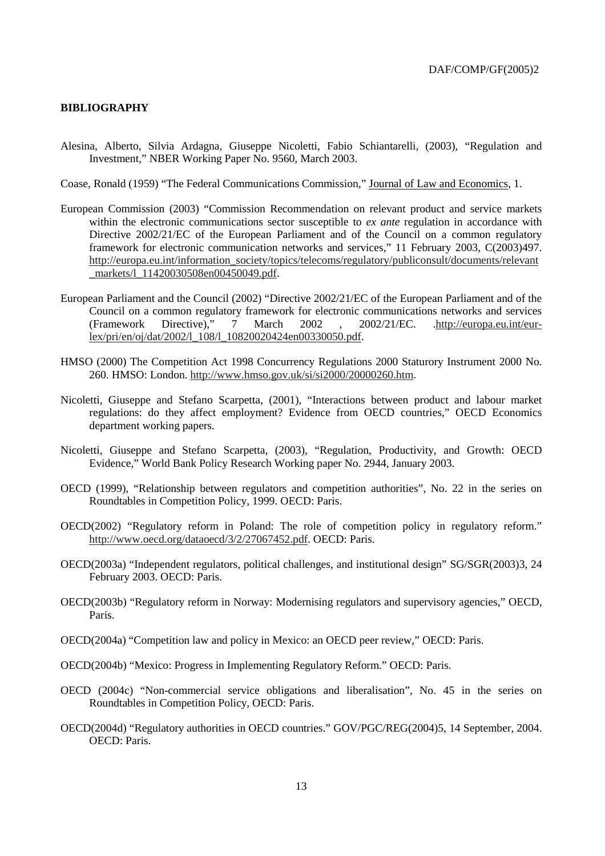#### **BIBLIOGRAPHY**

Alesina, Alberto, Silvia Ardagna, Giuseppe Nicoletti, Fabio Schiantarelli, (2003), "Regulation and Investment," NBER Working Paper No. 9560, March 2003.

Coase, Ronald (1959) "The Federal Communications Commission," Journal of Law and Economics, 1.

- European Commission (2003) "Commission Recommendation on relevant product and service markets within the electronic communications sector susceptible to *ex ante* regulation in accordance with Directive 2002/21/EC of the European Parliament and of the Council on a common regulatory framework for electronic communication networks and services," 11 February 2003, C(2003)497. http://europa.eu.int/information\_society/topics/telecoms/regulatory/publiconsult/documents/relevant \_markets/l\_11420030508en00450049.pdf.
- European Parliament and the Council (2002) "Directive 2002/21/EC of the European Parliament and of the Council on a common regulatory framework for electronic communications networks and services<br>(Framework Directive), 7 March 2002, 2002/21/EC. http://europa.eu.int/eur-(Framework Directive)," 7 March 2002 , 2002/21/EC. .http://europa.eu.int/eurlex/pri/en/oj/dat/2002/l\_108/l\_10820020424en00330050.pdf.
- HMSO (2000) The Competition Act 1998 Concurrency Regulations 2000 Staturory Instrument 2000 No. 260. HMSO: London. http://www.hmso.gov.uk/si/si2000/20000260.htm.
- Nicoletti, Giuseppe and Stefano Scarpetta, (2001), "Interactions between product and labour market regulations: do they affect employment? Evidence from OECD countries," OECD Economics department working papers.
- Nicoletti, Giuseppe and Stefano Scarpetta, (2003), "Regulation, Productivity, and Growth: OECD Evidence," World Bank Policy Research Working paper No. 2944, January 2003.
- OECD (1999), "Relationship between regulators and competition authorities", No. 22 in the series on Roundtables in Competition Policy, 1999. OECD: Paris.
- OECD(2002) "Regulatory reform in Poland: The role of competition policy in regulatory reform." http://www.oecd.org/dataoecd/3/2/27067452.pdf. OECD: Paris.
- OECD(2003a) "Independent regulators, political challenges, and institutional design" SG/SGR(2003)3, 24 February 2003. OECD: Paris.
- OECD(2003b) "Regulatory reform in Norway: Modernising regulators and supervisory agencies," OECD, Paris.
- OECD(2004a) "Competition law and policy in Mexico: an OECD peer review," OECD: Paris.
- OECD(2004b) "Mexico: Progress in Implementing Regulatory Reform." OECD: Paris.
- OECD (2004c) "Non-commercial service obligations and liberalisation", No. 45 in the series on Roundtables in Competition Policy, OECD: Paris.
- OECD(2004d) "Regulatory authorities in OECD countries." GOV/PGC/REG(2004)5, 14 September, 2004. OECD: Paris.